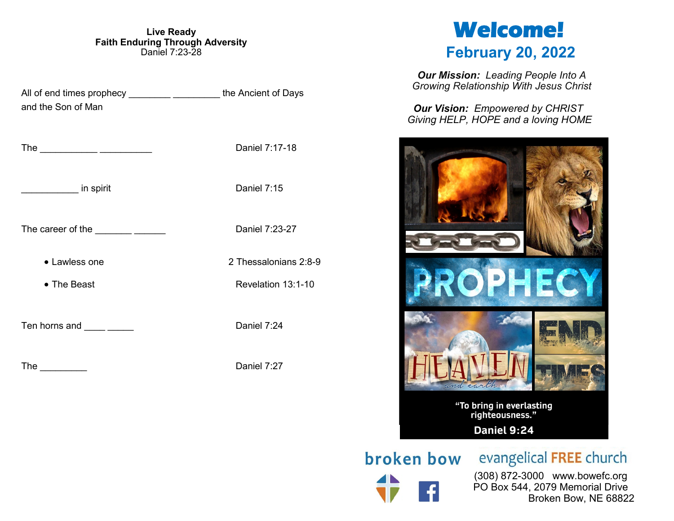**Live Ready Faith Enduring Through Adversity** Daniel 7:23-28

All of end times prophecy entity and the Ancient of Days and the Son of Man The \_\_\_\_\_\_\_\_\_\_\_ \_\_\_\_\_\_\_\_\_\_ Daniel 7:17-18 extending spirit and the spirit of the spirit Daniel 7:15 The career of the **EXECUTE 120** Daniel 7:23-27 • Lawless one 2 2 Thessalonians 2:8-9 • The Beast **Revelation 13:1-10** Ten horns and \_\_\_\_\_ \_\_\_\_\_\_ Daniel 7:24 The Daniel 7:27

# **Welcome! February 20, 2022**

*Our Mission: Leading People Into A Growing Relationship With Jesus Christ*

*Our Vision: Empowered by CHRIST Giving HELP, HOPE and a loving HOME*



**broken bow** evangelical FREE church

 (308) 872-3000 www.bowefc.org PO Box 544, 2079 Memorial Drive Broken Bow, NE 68822